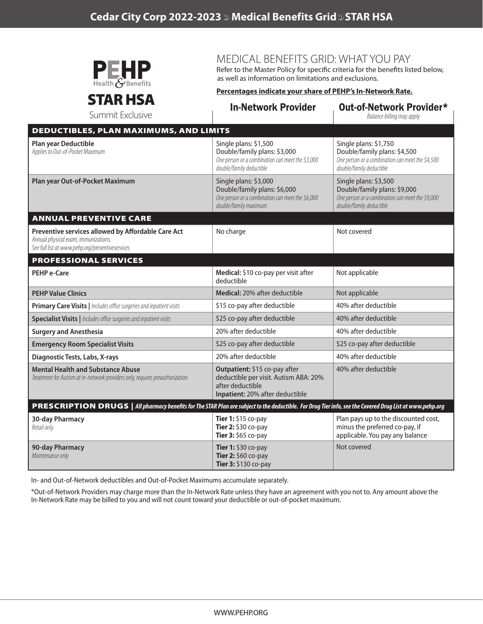

MEDICAL BENEFITS GRID: WHAT YOU PAY

Refer to the Master Policy for specific criteria for the benefits listed below, as well as information on limitations and exclusions.

In-Network Provider Out-of-Network Provider\*

## STAR HSA

## **Percentages indicate your share of PEHP's In-Network Rate.**

| Summit Exclusive                                                                                                                                          |                                                                                                                                       | UULUI-INGLIIVIIN I TUVIUGI<br>Balance billing may apply                                                                               |
|-----------------------------------------------------------------------------------------------------------------------------------------------------------|---------------------------------------------------------------------------------------------------------------------------------------|---------------------------------------------------------------------------------------------------------------------------------------|
| <b>DEDUCTIBLES, PLAN MAXIMUMS, AND LIMITS</b>                                                                                                             |                                                                                                                                       |                                                                                                                                       |
| Plan year Deductible<br>Applies to Out-of-Pocket Maximum                                                                                                  | Single plans: \$1,500<br>Double/family plans: \$3,000<br>One person or a combination can meet the \$3,000<br>double/family deductible | Single plans: \$1,750<br>Double/family plans: \$4,500<br>One person or a combination can meet the \$4,500<br>double/family deductible |
| Plan year Out-of-Pocket Maximum                                                                                                                           | Single plans: \$3,000<br>Double/family plans: \$6,000<br>One person or a combination can meet the \$6,000<br>double/family maximum    | Single plans: \$3,500<br>Double/family plans: \$9,000<br>One person or a combination can meet the \$9,000<br>double/family deductible |
| ANNUAL PREVENTIVE CARE                                                                                                                                    |                                                                                                                                       |                                                                                                                                       |
| Preventive services allowed by Affordable Care Act<br>Annual physical exam, immunizations.<br>See full list at www.pehp.org/preventiveservices            | No charge                                                                                                                             | Not covered                                                                                                                           |
| <b>PROFESSIONAL SERVICES</b>                                                                                                                              |                                                                                                                                       |                                                                                                                                       |
| <b>PEHP e-Care</b>                                                                                                                                        | Medical: \$10 co-pay per visit after<br>deductible                                                                                    | Not applicable                                                                                                                        |
| <b>PEHP Value Clinics</b>                                                                                                                                 | Medical: 20% after deductible                                                                                                         | Not applicable                                                                                                                        |
| Primary Care Visits   Includes office surgeries and inpatient visits                                                                                      | \$15 co-pay after deductible                                                                                                          | 40% after deductible                                                                                                                  |
| Specialist Visits   Includes office surgeries and inpatient visits                                                                                        | \$25 co-pay after deductible                                                                                                          | 40% after deductible                                                                                                                  |
| <b>Surgery and Anesthesia</b>                                                                                                                             | 20% after deductible                                                                                                                  | 40% after deductible                                                                                                                  |
| <b>Emergency Room Specialist Visits</b>                                                                                                                   | \$25 co-pay after deductible                                                                                                          | \$25 co-pay after deductible                                                                                                          |
| Diagnostic Tests, Labs, X-rays                                                                                                                            | 20% after deductible                                                                                                                  | 40% after deductible                                                                                                                  |
| <b>Mental Health and Substance Abuse</b><br>Treatment for Autism at in-network providers only, requires preauthorization                                  | Outpatient: \$15 co-pay after<br>deductible per visit. Autism ABA: 20%<br>after deductible<br>Inpatient: 20% after deductible         | 40% after deductible                                                                                                                  |
| PRESCRIPTION DRUGS   All pharmacy benefits for The STAR Plan are subject to the deductible. For Drug Tier info, see the Covered Drug List at www.pehp.org |                                                                                                                                       |                                                                                                                                       |
| <b>30-day Pharmacy</b><br>Retail only                                                                                                                     | Tier 1: \$15 co-pay<br>Tier 2: \$30 co-pay<br>Tier 3: \$65 co-pay                                                                     | Plan pays up to the discounted cost,<br>minus the preferred co-pay, if<br>applicable. You pay any balance                             |
| 90-day Pharmacy<br>Maintenance only                                                                                                                       | Tier 1: \$30 co-pay<br>Tier 2: \$60 co-pay<br>Tier 3: \$130 co-pay                                                                    | Not covered                                                                                                                           |

In- and Out-of-Network deductibles and Out-of-Pocket Maximums accumulate separately.

\*Out-of-Network Providers may charge more than the In-Network Rate unless they have an agreement with you not to. Any amount above the In-Network Rate may be billed to you and will not count toward your deductible or out-of-pocket maximum.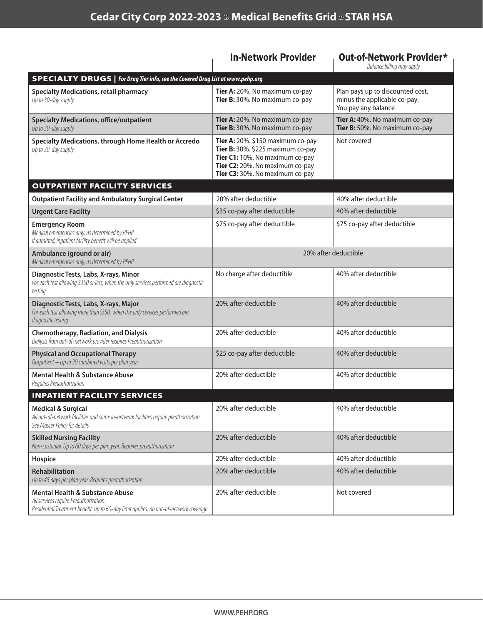|                                                                                                                                                                               | <b>In-Network Provider</b>                                                                                                                                                          | Out-of-Network Provider*<br>Balance billing may apply                                   |
|-------------------------------------------------------------------------------------------------------------------------------------------------------------------------------|-------------------------------------------------------------------------------------------------------------------------------------------------------------------------------------|-----------------------------------------------------------------------------------------|
| <b>SPECIALTY DRUGS</b>   For Drug Tier info, see the Covered Drug List at www.pehp.org                                                                                        |                                                                                                                                                                                     |                                                                                         |
| <b>Specialty Medications, retail pharmacy</b><br>Up to 30-day supply                                                                                                          | Tier A: 20%. No maximum co-pay<br>Tier B: 30%. No maximum co-pay                                                                                                                    | Plan pays up to discounted cost,<br>minus the applicable co-pay.<br>You pay any balance |
| <b>Specialty Medications, office/outpatient</b><br>Up to 30-day supply                                                                                                        | Tier A: 20%. No maximum co-pay<br>Tier B: 30%. No maximum co-pay                                                                                                                    | Tier A: 40%. No maximum co-pay<br>Tier B: 50%. No maximum co-pay                        |
| Specialty Medications, through Home Health or Accredo<br>Up to 30-day supply                                                                                                  | Tier A: $20\%$ . \$150 maximum co-pay<br>Tier B: 30%. \$225 maximum co-pay<br>Tier C1: 10%. No maximum co-pay<br>Tier C2: 20%. No maximum co-pay<br>Tier C3: 30%. No maximum co-pay | Not covered                                                                             |
| <b>OUTPATIENT FACILITY SERVICES</b>                                                                                                                                           |                                                                                                                                                                                     |                                                                                         |
| <b>Outpatient Facility and Ambulatory Surgical Center</b>                                                                                                                     | 20% after deductible                                                                                                                                                                | 40% after deductible                                                                    |
| <b>Urgent Care Facility</b>                                                                                                                                                   | \$35 co-pay after deductible                                                                                                                                                        | 40% after deductible                                                                    |
| <b>Emergency Room</b><br>Medical emergencies only, as determined by PEHP.<br>If admitted, inpatient facility benefit will be applied                                          | \$75 co-pay after deductible                                                                                                                                                        | \$75 co-pay after deductible                                                            |
| Ambulance (ground or air)<br>Medical emergencies only, as determined by PEHP                                                                                                  | 20% after deductible                                                                                                                                                                |                                                                                         |
| Diagnostic Tests, Labs, X-rays, Minor<br>For each test allowing \$350 or less, when the only services performed are diagnostic<br>testing                                     | No charge after deductible                                                                                                                                                          | 40% after deductible                                                                    |
| Diagnostic Tests, Labs, X-rays, Major<br>For each test allowing more than\$350, when the only services performed are<br>diagnostic testing                                    | 20% after deductible                                                                                                                                                                | 40% after deductible                                                                    |
| <b>Chemotherapy, Radiation, and Dialysis</b><br>Dialysis from out-of-network provider requires Preauthorization                                                               | 20% after deductible                                                                                                                                                                | 40% after deductible                                                                    |
| <b>Physical and Occupational Therapy</b><br>Outpatient - Up to 20 combined visits per plan year.                                                                              | \$25 co-pay after deductible                                                                                                                                                        | 40% after deductible                                                                    |
| <b>Mental Health &amp; Substance Abuse</b><br>Requires Preauthorization                                                                                                       | 20% after deductible                                                                                                                                                                | 40% after deductible                                                                    |
| <b>INPATIENT FACILITY SERVICES</b>                                                                                                                                            |                                                                                                                                                                                     |                                                                                         |
| <b>Medical &amp; Surgical</b><br>All out-of-network facilities and some in-network facilities require preathorization.<br>See Master Policy for details                       | 20% after deductible                                                                                                                                                                | 40% after deductible                                                                    |
| <b>Skilled Nursing Facility</b><br>Non-custodial. Up to 60 days per plan year. Requires preauthorization                                                                      | 20% after deductible                                                                                                                                                                | 40% after deductible                                                                    |
| Hospice                                                                                                                                                                       | 20% after deductible                                                                                                                                                                | 40% after deductible                                                                    |
| Rehabilitation<br>Up to 45 days per plan year. Requires preauthorization                                                                                                      | 20% after deductible                                                                                                                                                                | 40% after deductible                                                                    |
| <b>Mental Health &amp; Substance Abuse</b><br>All services require Preauthorization.<br>Residential Treatment benefit: up to 60-day limit applies, no out-of-network coverage | 20% after deductible                                                                                                                                                                | Not covered                                                                             |